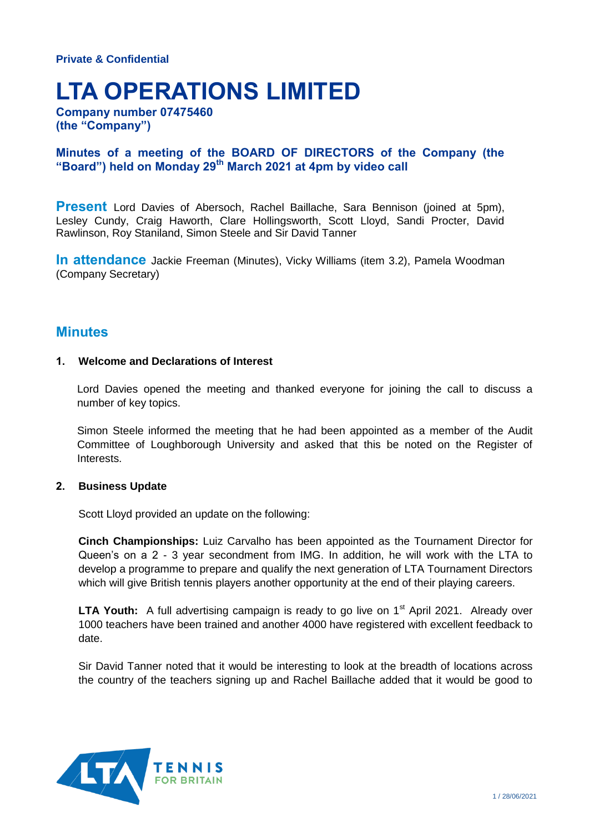# **LTA OPERATIONS LIMITED**

**Company number 07475460 (the "Company")**

# **Minutes of a meeting of the BOARD OF DIRECTORS of the Company (the "Board") held on Monday 29th March 2021 at 4pm by video call**

**Present** Lord Davies of Abersoch, Rachel Baillache, Sara Bennison (joined at 5pm), Lesley Cundy, Craig Haworth, Clare Hollingsworth, Scott Lloyd, Sandi Procter, David Rawlinson, Roy Staniland, Simon Steele and Sir David Tanner

**In attendance** Jackie Freeman (Minutes), Vicky Williams (item 3.2), Pamela Woodman (Company Secretary)

# **Minutes**

# **1. Welcome and Declarations of Interest**

Lord Davies opened the meeting and thanked everyone for joining the call to discuss a number of key topics.

Simon Steele informed the meeting that he had been appointed as a member of the Audit Committee of Loughborough University and asked that this be noted on the Register of Interests.

#### **2. Business Update**

Scott Lloyd provided an update on the following:

**Cinch Championships:** Luiz Carvalho has been appointed as the Tournament Director for Queen's on a 2 - 3 year secondment from IMG. In addition, he will work with the LTA to develop a programme to prepare and qualify the next generation of LTA Tournament Directors which will give British tennis players another opportunity at the end of their playing careers.

**LTA Youth:** A full advertising campaign is ready to go live on 1<sup>st</sup> April 2021. Already over 1000 teachers have been trained and another 4000 have registered with excellent feedback to date.

Sir David Tanner noted that it would be interesting to look at the breadth of locations across the country of the teachers signing up and Rachel Baillache added that it would be good to

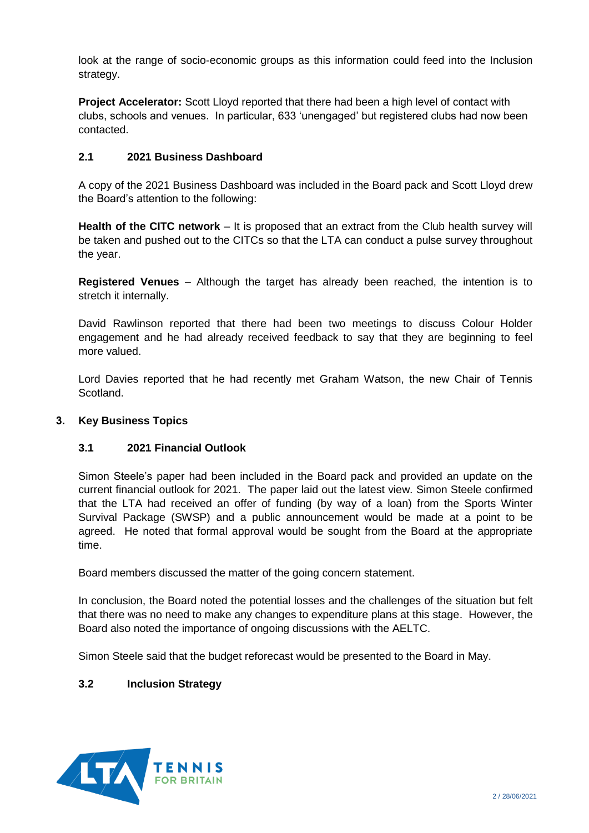look at the range of socio-economic groups as this information could feed into the Inclusion strategy.

**Project Accelerator:** Scott Lloyd reported that there had been a high level of contact with clubs, schools and venues. In particular, 633 'unengaged' but registered clubs had now been contacted.

# **2.1 2021 Business Dashboard**

A copy of the 2021 Business Dashboard was included in the Board pack and Scott Lloyd drew the Board's attention to the following:

**Health of the CITC network** – It is proposed that an extract from the Club health survey will be taken and pushed out to the CITCs so that the LTA can conduct a pulse survey throughout the year.

**Registered Venues** – Although the target has already been reached, the intention is to stretch it internally.

David Rawlinson reported that there had been two meetings to discuss Colour Holder engagement and he had already received feedback to say that they are beginning to feel more valued.

Lord Davies reported that he had recently met Graham Watson, the new Chair of Tennis Scotland.

# **3. Key Business Topics**

# **3.1 2021 Financial Outlook**

Simon Steele's paper had been included in the Board pack and provided an update on the current financial outlook for 2021. The paper laid out the latest view. Simon Steele confirmed that the LTA had received an offer of funding (by way of a loan) from the Sports Winter Survival Package (SWSP) and a public announcement would be made at a point to be agreed. He noted that formal approval would be sought from the Board at the appropriate time.

Board members discussed the matter of the going concern statement.

In conclusion, the Board noted the potential losses and the challenges of the situation but felt that there was no need to make any changes to expenditure plans at this stage. However, the Board also noted the importance of ongoing discussions with the AELTC.

Simon Steele said that the budget reforecast would be presented to the Board in May.

# **3.2 Inclusion Strategy**

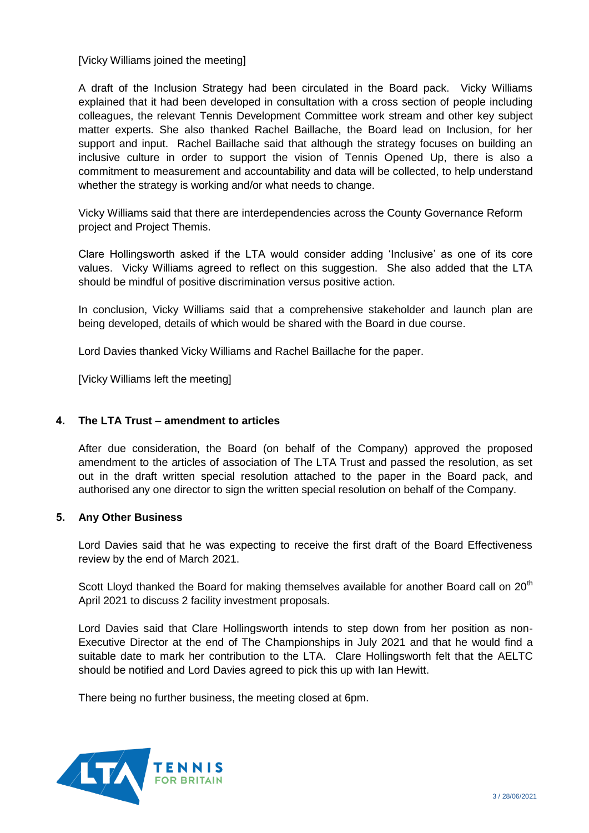[Vicky Williams joined the meeting]

A draft of the Inclusion Strategy had been circulated in the Board pack. Vicky Williams explained that it had been developed in consultation with a cross section of people including colleagues, the relevant Tennis Development Committee work stream and other key subject matter experts. She also thanked Rachel Baillache, the Board lead on Inclusion, for her support and input. Rachel Baillache said that although the strategy focuses on building an inclusive culture in order to support the vision of Tennis Opened Up, there is also a commitment to measurement and accountability and data will be collected, to help understand whether the strategy is working and/or what needs to change.

Vicky Williams said that there are interdependencies across the County Governance Reform project and Project Themis.

Clare Hollingsworth asked if the LTA would consider adding 'Inclusive' as one of its core values. Vicky Williams agreed to reflect on this suggestion. She also added that the LTA should be mindful of positive discrimination versus positive action.

In conclusion, Vicky Williams said that a comprehensive stakeholder and launch plan are being developed, details of which would be shared with the Board in due course.

Lord Davies thanked Vicky Williams and Rachel Baillache for the paper.

[Vicky Williams left the meeting]

# **4. The LTA Trust – amendment to articles**

After due consideration, the Board (on behalf of the Company) approved the proposed amendment to the articles of association of The LTA Trust and passed the resolution, as set out in the draft written special resolution attached to the paper in the Board pack, and authorised any one director to sign the written special resolution on behalf of the Company.

# **5. Any Other Business**

Lord Davies said that he was expecting to receive the first draft of the Board Effectiveness review by the end of March 2021.

Scott Lloyd thanked the Board for making themselves available for another Board call on  $20<sup>th</sup>$ April 2021 to discuss 2 facility investment proposals.

Lord Davies said that Clare Hollingsworth intends to step down from her position as non-Executive Director at the end of The Championships in July 2021 and that he would find a suitable date to mark her contribution to the LTA. Clare Hollingsworth felt that the AELTC should be notified and Lord Davies agreed to pick this up with Ian Hewitt.

There being no further business, the meeting closed at 6pm.

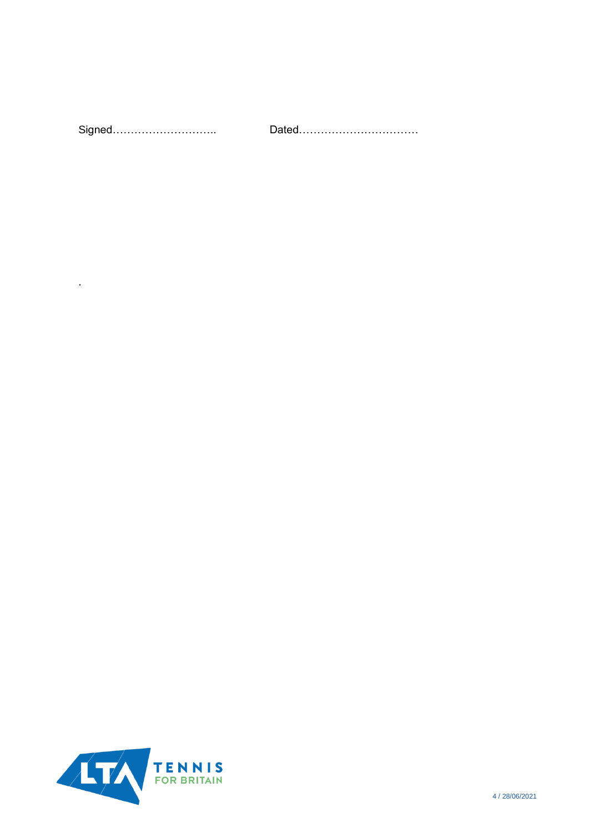| Signed |  |
|--------|--|
|        |  |



.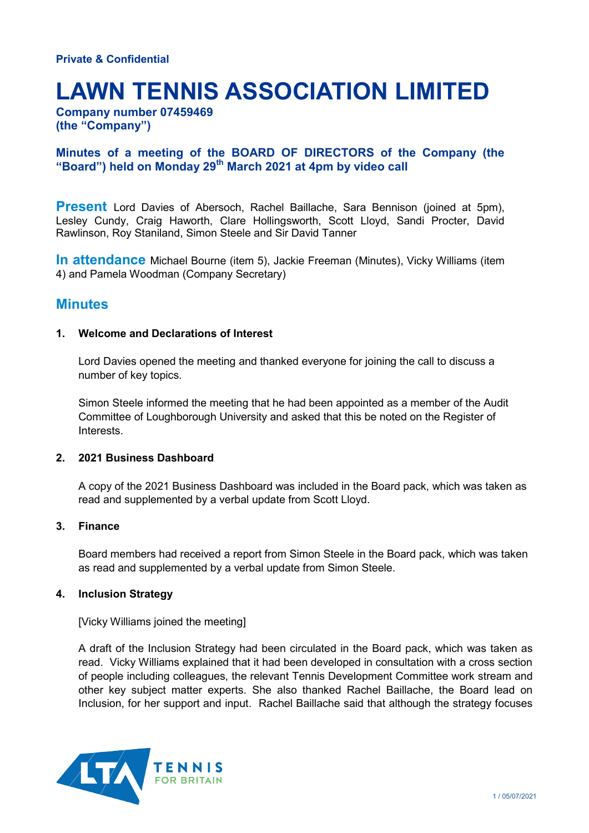# **LAWN TENNIS ASSOCIATION LIMITED**

**Company number 07459469 (the "Company")**

# **Minutes of a meeting of the BOARD OF DIRECTORS of the Company (the "Board") held on Monday 29th March 2021 at 4pm by video call**

**Present** Lord Davies of Abersoch, Rachel Baillache, Sara Bennison (joined at 5pm), Lesley Cundy, Craig Haworth, Clare Hollingsworth, Scott Lloyd, Sandi Procter, David Rawlinson, Roy Staniland, Simon Steele and Sir David Tanner

**In attendance** Michael Bourne (item 5), Jackie Freeman (Minutes), Vicky Williams (item 4) and Pamela Woodman (Company Secretary)

# **Minutes**

# **1. Welcome and Declarations of Interest**

Lord Davies opened the meeting and thanked everyone for joining the call to discuss a number of key topics.

Simon Steele informed the meeting that he had been appointed as a member of the Audit Committee of Loughborough University and asked that this be noted on the Register of Interests.

# **2. 2021 Business Dashboard**

A copy of the 2021 Business Dashboard was included in the Board pack, which was taken as read and supplemented by a verbal update from Scott Lloyd.

# **3. Finance**

Board members had received a report from Simon Steele in the Board pack, which was taken as read and supplemented by a verbal update from Simon Steele.

# **4. Inclusion Strategy**

[Vicky Williams joined the meeting]

A draft of the Inclusion Strategy had been circulated in the Board pack, which was taken as read. Vicky Williams explained that it had been developed in consultation with a cross section of people including colleagues, the relevant Tennis Development Committee work stream and other key subject matter experts. She also thanked Rachel Baillache, the Board lead on Inclusion, for her support and input. Rachel Baillache said that although the strategy focuses

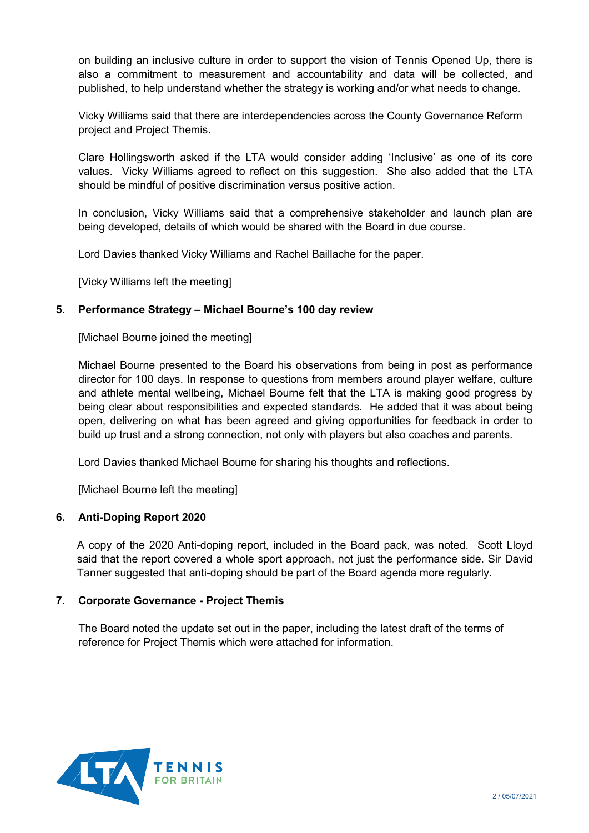on building an inclusive culture in order to support the vision of Tennis Opened Up, there is also a commitment to measurement and accountability and data will be collected, and published, to help understand whether the strategy is working and/or what needs to change.

Vicky Williams said that there are interdependencies across the County Governance Reform project and Project Themis.

Clare Hollingsworth asked if the LTA would consider adding 'Inclusive' as one of its core values. Vicky Williams agreed to reflect on this suggestion. She also added that the LTA should be mindful of positive discrimination versus positive action.

In conclusion, Vicky Williams said that a comprehensive stakeholder and launch plan are being developed, details of which would be shared with the Board in due course.

Lord Davies thanked Vicky Williams and Rachel Baillache for the paper.

[Vicky Williams left the meeting]

# **5. Performance Strategy – Michael Bourne's 100 day review**

[Michael Bourne joined the meeting]

Michael Bourne presented to the Board his observations from being in post as performance director for 100 days. In response to questions from members around player welfare, culture and athlete mental wellbeing, Michael Bourne felt that the LTA is making good progress by being clear about responsibilities and expected standards. He added that it was about being open, delivering on what has been agreed and giving opportunities for feedback in order to build up trust and a strong connection, not only with players but also coaches and parents.

Lord Davies thanked Michael Bourne for sharing his thoughts and reflections.

[Michael Bourne left the meeting]

# **6. Anti-Doping Report 2020**

A copy of the 2020 Anti-doping report, included in the Board pack, was noted. Scott Lloyd said that the report covered a whole sport approach, not just the performance side. Sir David Tanner suggested that anti-doping should be part of the Board agenda more regularly.

# **7. Corporate Governance - Project Themis**

The Board noted the update set out in the paper, including the latest draft of the terms of reference for Project Themis which were attached for information.